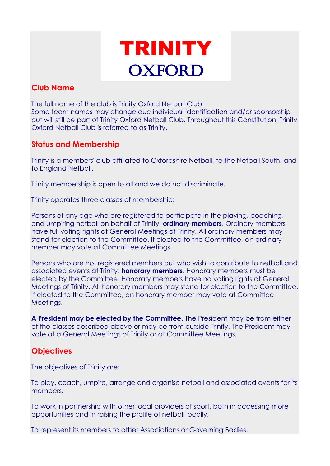

# **Club Name**

The full name of the club is Trinity Oxford Netball Club. Some team names may change due individual identification and/or sponsorship but will still be part of Trinity Oxford Netball Club. Throughout this Constitution, Trinity Oxford Netball Club is referred to as Trinity.

# **Status and Membership**

Trinity is a members' club affiliated to Oxfordshire Netball, to the Netball South, and to England Netball.

Trinity membership is open to all and we do not discriminate.

Trinity operates three classes of membership:

Persons of any age who are registered to participate in the playing, coaching, and umpiring netball on behalf of Trinity: **ordinary members**. Ordinary members have full voting rights at General Meetings of Trinity. All ordinary members may stand for election to the Committee. If elected to the Committee, an ordinary member may vote at Committee Meetings.

Persons who are not registered members but who wish to contribute to netball and associated events at Trinity: **honorary members**. Honorary members must be elected by the Committee. Honorary members have no voting rights at General Meetings of Trinity. All honorary members may stand for election to the Committee. If elected to the Committee, an honorary member may vote at Committee Meetings.

**A President may be elected by the Committee.** The President may be from either of the classes described above or may be from outside Trinity. The President may vote at a General Meetings of Trinity or at Committee Meetings.

# **Objectives**

The objectives of Trinity are:

To play, coach, umpire, arrange and organise netball and associated events for its members.

To work in partnership with other local providers of sport, both in accessing more opportunities and in raising the profile of netball locally.

To represent its members to other Associations or Governing Bodies.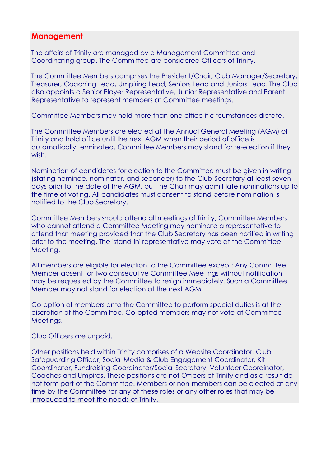#### **Management**

The affairs of Trinity are managed by a Management Committee and Coordinating group. The Committee are considered Officers of Trinity.

The Committee Members comprises the President/Chair, Club Manager/Secretary, Treasurer, Coaching Lead, Umpiring Lead, Seniors Lead and Juniors Lead. The Club also appoints a Senior Player Representative, Junior Representative and Parent Representative to represent members at Committee meetings.

Committee Members may hold more than one office if circumstances dictate.

The Committee Members are elected at the Annual General Meeting (AGM) of Trinity and hold office until the next AGM when their period of office is automatically terminated. Committee Members may stand for re-election if they wish.

Nomination of candidates for election to the Committee must be given in writing (stating nominee, nominator, and seconder) to the Club Secretary at least seven days prior to the date of the AGM, but the Chair may admit late nominations up to the time of voting. All candidates must consent to stand before nomination is notified to the Club Secretary.

Committee Members should attend all meetings of Trinity; Committee Members who cannot attend a Committee Meeting may nominate a representative to attend that meeting provided that the Club Secretary has been notified in writing prior to the meeting. The 'stand-in' representative may vote at the Committee Meeting.

All members are eligible for election to the Committee except: Any Committee Member absent for two consecutive Committee Meetings without notification may be requested by the Committee to resign immediately. Such a Committee Member may not stand for election at the next AGM.

Co-option of members onto the Committee to perform special duties is at the discretion of the Committee. Co-opted members may not vote at Committee Meetings.

Club Officers are unpaid.

Other positions held within Trinity comprises of a Website Coordinator, Club Safeguarding Officer, Social Media & Club Engagement Coordinator, Kit Coordinator, Fundraising Coordinator/Social Secretary, Volunteer Coordinator, Coaches and Umpires. These positions are not Officers of Trinity and as a result do not form part of the Committee. Members or non-members can be elected at any time by the Committee for any of these roles or any other roles that may be introduced to meet the needs of Trinity.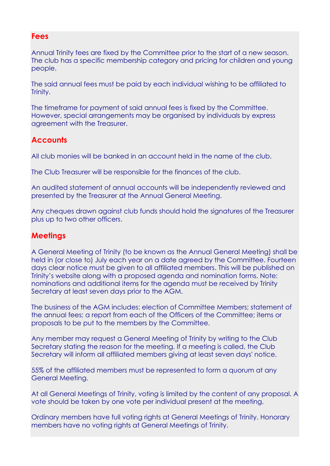#### **Fees**

Annual Trinity fees are fixed by the Committee prior to the start of a new season. The club has a specific membership category and pricing for children and young people.

The said annual fees must be paid by each individual wishing to be affiliated to Trinity.

The timeframe for payment of said annual fees is fixed by the Committee. However, special arrangements may be organised by individuals by express agreement with the Treasurer.

# **Accounts**

All club monies will be banked in an account held in the name of the club.

The Club Treasurer will be responsible for the finances of the club.

An audited statement of annual accounts will be independently reviewed and presented by the Treasurer at the Annual General Meeting.

Any cheques drawn against club funds should hold the signatures of the Treasurer plus up to two other officers.

### **Meetings**

A General Meeting of Trinity (to be known as the Annual General Meeting) shall be held in (or close to) July each year on a date agreed by the Committee. Fourteen days clear notice must be given to all affiliated members. This will be published on Trinity's website along with a proposed agenda and nomination forms. Note: nominations and additional items for the agenda must be received by Trinity Secretary at least seven days prior to the AGM.

The business of the AGM includes: election of Committee Members; statement of the annual fees; a report from each of the Officers of the Committee; items or proposals to be put to the members by the Committee.

Any member may request a General Meeting of Trinity by writing to the Club Secretary stating the reason for the meeting. If a meeting is called, the Club Secretary will inform all affiliated members giving at least seven days' notice.

55% of the affiliated members must be represented to form a quorum at any General Meeting.

At all General Meetings of Trinity, voting is limited by the content of any proposal. A vote should be taken by one vote per individual present at the meeting.

Ordinary members have full voting rights at General Meetings of Trinity. Honorary members have no voting rights at General Meetings of Trinity.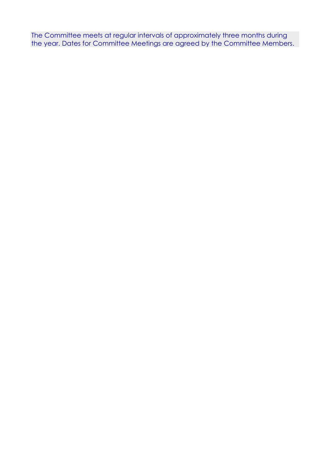The Committee meets at regular intervals of approximately three months during the year. Dates for Committee Meetings are agreed by the Committee Members.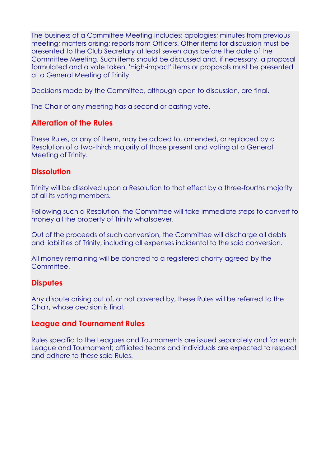The business of a Committee Meeting includes: apologies; minutes from previous meeting; matters arising; reports from Officers. Other items for discussion must be presented to the Club Secretary at least seven days before the date of the Committee Meeting. Such items should be discussed and, if necessary, a proposal formulated and a vote taken. 'High-impact' items or proposals must be presented at a General Meeting of Trinity.

Decisions made by the Committee, although open to discussion, are final.

The Chair of any meeting has a second or casting vote.

### **Alteration of the Rules**

These Rules, or any of them, may be added to, amended, or replaced by a Resolution of a two-thirds majority of those present and voting at a General Meeting of Trinity.

### **Dissolution**

Trinity will be dissolved upon a Resolution to that effect by a three-fourths majority of all its voting members.

Following such a Resolution, the Committee will take immediate steps to convert to money all the property of Trinity whatsoever.

Out of the proceeds of such conversion, the Committee will discharge all debts and liabilities of Trinity, including all expenses incidental to the said conversion.

All money remaining will be donated to a registered charity agreed by the Committee.

### **Disputes**

Any dispute arising out of, or not covered by, these Rules will be referred to the Chair, whose decision is final.

### **League and Tournament Rules**

Rules specific to the Leagues and Tournaments are issued separately and for each League and Tournament; affiliated teams and individuals are expected to respect and adhere to these said Rules.